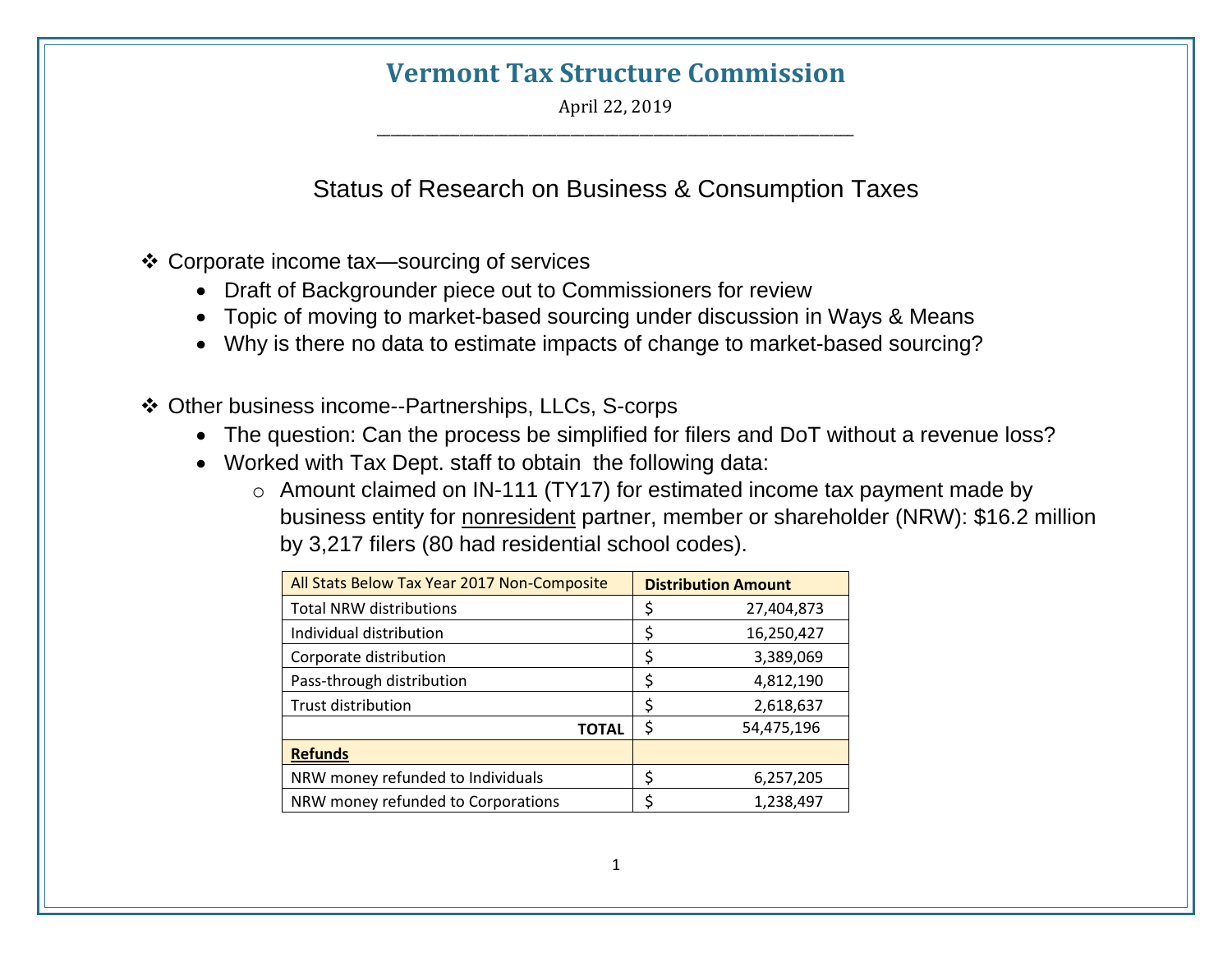## **Vermont Tax Structure Commission**

April 22, 2019 \_\_\_\_\_\_\_\_\_\_\_\_\_\_\_\_\_\_\_\_\_\_\_\_\_\_\_\_\_\_\_\_\_\_\_\_\_\_\_\_\_\_\_\_\_\_\_\_\_\_\_\_\_\_\_\_\_\_\_\_\_\_\_\_\_\_\_\_\_

Status of Research on Business & Consumption Taxes

- ❖ Corporate income tax—sourcing of services
	- Draft of Backgrounder piece out to Commissioners for review
	- Topic of moving to market-based sourcing under discussion in Ways & Means
	- Why is there no data to estimate impacts of change to market-based sourcing?
- ❖ Other business income--Partnerships, LLCs, S-corps
	- The question: Can the process be simplified for filers and DoT without a revenue loss?
	- Worked with Tax Dept. staff to obtain the following data:
		- o Amount claimed on IN-111 (TY17) for estimated income tax payment made by business entity for nonresident partner, member or shareholder (NRW): \$16.2 million by 3,217 filers (80 had residential school codes).

| All Stats Below Tax Year 2017 Non-Composite | <b>Distribution Amount</b> |            |
|---------------------------------------------|----------------------------|------------|
| <b>Total NRW distributions</b>              | \$                         | 27,404,873 |
| Individual distribution                     | \$                         | 16,250,427 |
| Corporate distribution                      | \$                         | 3,389,069  |
| Pass-through distribution                   | \$                         | 4,812,190  |
| Trust distribution                          | \$                         | 2,618,637  |
| <b>TOTAL</b>                                | \$                         | 54,475,196 |
| <b>Refunds</b>                              |                            |            |
| NRW money refunded to Individuals           | \$                         | 6,257,205  |
| NRW money refunded to Corporations          | \$                         | 1,238,497  |